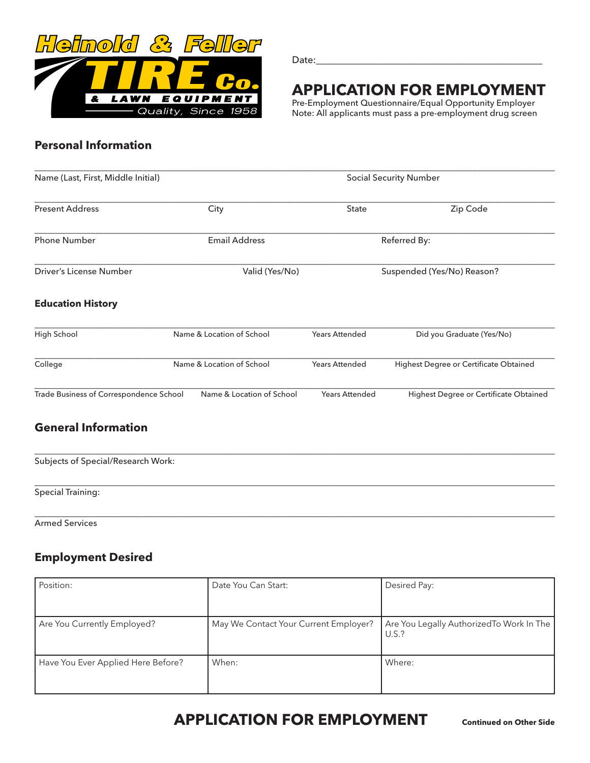

Date:

# **APPLICATION FOR EMPLOYMENT**

Pre-Employment Questionnaire/Equal Opportunity Employer Note: All applicants must pass a pre-employment drug screen

## **Personal Information**

| Name (Last, First, Middle Initial)      |                           | <b>Social Security Number</b> |                                        |  |
|-----------------------------------------|---------------------------|-------------------------------|----------------------------------------|--|
| <b>Present Address</b>                  | City                      | <b>State</b>                  | Zip Code                               |  |
| <b>Phone Number</b>                     | <b>Email Address</b>      |                               | Referred By:                           |  |
| Driver's License Number                 | Valid (Yes/No)            |                               | Suspended (Yes/No) Reason?             |  |
| <b>Education History</b>                |                           |                               |                                        |  |
| High School                             | Name & Location of School | <b>Years Attended</b>         | Did you Graduate (Yes/No)              |  |
| College                                 | Name & Location of School | <b>Years Attended</b>         | Highest Degree or Certificate Obtained |  |
| Trade Business of Correspondence School | Name & Location of School | <b>Years Attended</b>         | Highest Degree or Certificate Obtained |  |

## **General Information**

| Subjects of Special/Research Work: |  |  |
|------------------------------------|--|--|
| <b>Special Training:</b>           |  |  |

\_\_\_\_\_\_\_\_\_\_\_\_\_\_\_\_\_\_\_\_\_\_\_\_\_\_\_\_\_\_\_\_\_\_\_\_\_\_\_\_\_\_\_\_\_\_\_\_\_\_\_\_\_\_\_\_\_\_\_\_\_\_\_\_\_\_\_\_\_\_\_\_\_\_\_\_\_\_\_\_\_\_\_\_\_\_\_\_\_\_\_\_\_\_\_\_\_\_\_\_\_\_\_\_\_\_\_\_\_\_\_\_\_\_\_\_\_\_\_\_

Armed Services

## **Employment Desired**

| Position:                          | Date You Can Start:                   | Desired Pay:                                       |
|------------------------------------|---------------------------------------|----------------------------------------------------|
| Are You Currently Employed?        | May We Contact Your Current Employer? | Are You Legally Authorized To Work In The<br>U.S.? |
| Have You Ever Applied Here Before? | When:                                 | Where:                                             |

## **APPLICATION FOR EMPLOYMENT** Continued on Other Side